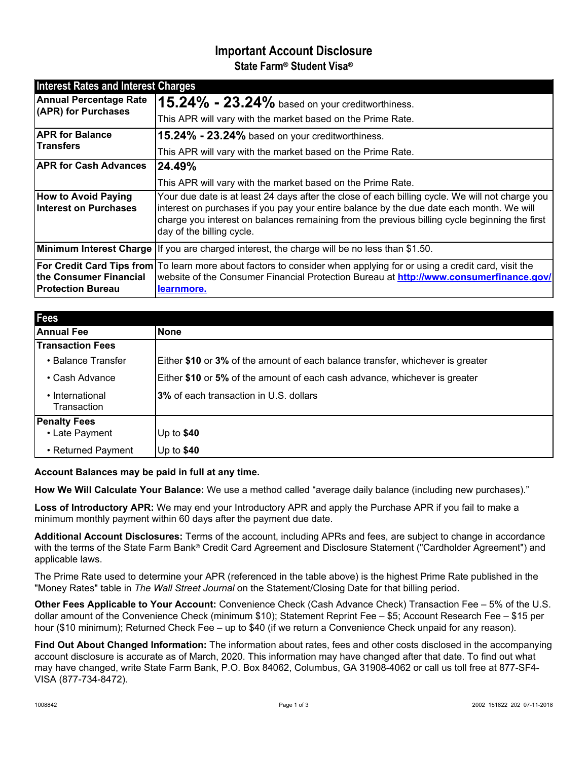# **Important Account Disclosure State Farm® Student Visa®**

| <b>Interest Rates and Interest Charges</b>                 |                                                                                                                                                                                                                                                                                                                           |
|------------------------------------------------------------|---------------------------------------------------------------------------------------------------------------------------------------------------------------------------------------------------------------------------------------------------------------------------------------------------------------------------|
| <b>Annual Percentage Rate</b><br>(APR) for Purchases       | $15.24\%$ - $23.24\%$ based on your creditworthiness.                                                                                                                                                                                                                                                                     |
|                                                            | This APR will vary with the market based on the Prime Rate.                                                                                                                                                                                                                                                               |
| <b>APR for Balance</b><br><b>Transfers</b>                 | 15.24% - 23.24% based on your creditworthiness.                                                                                                                                                                                                                                                                           |
|                                                            | This APR will vary with the market based on the Prime Rate.                                                                                                                                                                                                                                                               |
| <b>APR for Cash Advances</b>                               | 24.49%                                                                                                                                                                                                                                                                                                                    |
|                                                            | This APR will vary with the market based on the Prime Rate.                                                                                                                                                                                                                                                               |
| <b>How to Avoid Paying</b><br><b>Interest on Purchases</b> | Your due date is at least 24 days after the close of each billing cycle. We will not charge you<br>interest on purchases if you pay your entire balance by the due date each month. We will<br>charge you interest on balances remaining from the previous billing cycle beginning the first<br>day of the billing cycle. |
|                                                            | Minimum Interest Charge   If you are charged interest, the charge will be no less than \$1.50.                                                                                                                                                                                                                            |
| the Consumer Financial<br><b>Protection Bureau</b>         | For Credit Card Tips from To learn more about factors to consider when applying for or using a credit card, visit the<br>website of the Consumer Financial Protection Bureau at <b>http://www.consumerfinance.gov/</b><br>learnmore.                                                                                      |

| <b>Fees</b>                    |                                                                                |
|--------------------------------|--------------------------------------------------------------------------------|
| Annual Fee                     | <b>None</b>                                                                    |
| <b>Transaction Fees</b>        |                                                                                |
| • Balance Transfer             | Either \$10 or 3% of the amount of each balance transfer, whichever is greater |
| • Cash Advance                 | Either \$10 or 5% of the amount of each cash advance, whichever is greater     |
| • International<br>Transaction | <b>3%</b> of each transaction in U.S. dollars                                  |
| <b>Penalty Fees</b>            |                                                                                |
| • Late Payment                 | Up to $$40$                                                                    |
| • Returned Payment             | Up to $$40$                                                                    |

**Account Balances may be paid in full at any time.**

**How We Will Calculate Your Balance:** We use a method called "average daily balance (including new purchases)."

**Loss of Introductory APR:** We may end your Introductory APR and apply the Purchase APR if you fail to make a minimum monthly payment within 60 days after the payment due date.

**Additional Account Disclosures:** Terms of the account, including APRs and fees, are subject to change in accordance with the terms of the State Farm Bank® Credit Card Agreement and Disclosure Statement ("Cardholder Agreement") and applicable laws.

The Prime Rate used to determine your APR (referenced in the table above) is the highest Prime Rate published in the "Money Rates" table in *The Wall Street Journal* on the Statement/Closing Date for that billing period.

**Other Fees Applicable to Your Account:** Convenience Check (Cash Advance Check) Transaction Fee – 5% of the U.S. dollar amount of the Convenience Check (minimum \$10); Statement Reprint Fee – \$5; Account Research Fee – \$15 per hour (\$10 minimum); Returned Check Fee – up to \$40 (if we return a Convenience Check unpaid for any reason).

**Find Out About Changed Information:** The information about rates, fees and other costs disclosed in the accompanying account disclosure is accurate as of March, 2020. This information may have changed after that date. To find out what may have changed, write State Farm Bank, P.O. Box 84062, Columbus, GA 31908-4062 or call us toll free at 877-SF4- VISA (877-734-8472).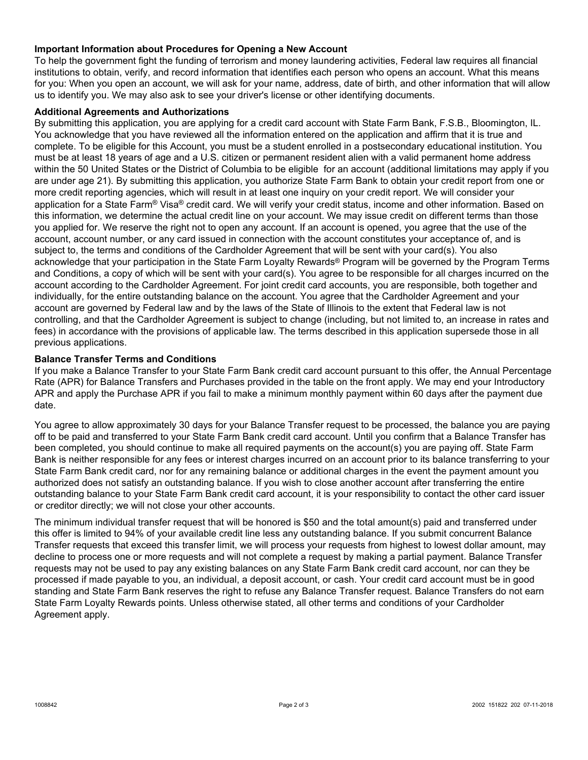## **Important Information about Procedures for Opening a New Account**

To help the government fight the funding of terrorism and money laundering activities, Federal law requires all financial institutions to obtain, verify, and record information that identifies each person who opens an account. What this means for you: When you open an account, we will ask for your name, address, date of birth, and other information that will allow us to identify you. We may also ask to see your driver's license or other identifying documents.

#### **Additional Agreements and Authorizations**

By submitting this application, you are applying for a credit card account with State Farm Bank, F.S.B., Bloomington, IL. You acknowledge that you have reviewed all the information entered on the application and affirm that it is true and complete. To be eligible for this Account, you must be a student enrolled in a postsecondary educational institution. You must be at least 18 years of age and a U.S. citizen or permanent resident alien with a valid permanent home address within the 50 United States or the District of Columbia to be eligible for an account (additional limitations may apply if you are under age 21). By submitting this application, you authorize State Farm Bank to obtain your credit report from one or more credit reporting agencies, which will result in at least one inquiry on your credit report. We will consider your application for a State Farm® Visa® credit card. We will verify your credit status, income and other information. Based on this information, we determine the actual credit line on your account. We may issue credit on different terms than those you applied for. We reserve the right not to open any account. If an account is opened, you agree that the use of the account, account number, or any card issued in connection with the account constitutes your acceptance of, and is subject to, the terms and conditions of the Cardholder Agreement that will be sent with your card(s). You also acknowledge that your participation in the State Farm Loyalty Rewards® Program will be governed by the Program Terms and Conditions, a copy of which will be sent with your card(s). You agree to be responsible for all charges incurred on the account according to the Cardholder Agreement. For joint credit card accounts, you are responsible, both together and individually, for the entire outstanding balance on the account. You agree that the Cardholder Agreement and your account are governed by Federal law and by the laws of the State of Illinois to the extent that Federal law is not controlling, and that the Cardholder Agreement is subject to change (including, but not limited to, an increase in rates and fees) in accordance with the provisions of applicable law. The terms described in this application supersede those in all previous applications.

### **Balance Transfer Terms and Conditions**

If you make a Balance Transfer to your State Farm Bank credit card account pursuant to this offer, the Annual Percentage Rate (APR) for Balance Transfers and Purchases provided in the table on the front apply. We may end your Introductory APR and apply the Purchase APR if you fail to make a minimum monthly payment within 60 days after the payment due date.

You agree to allow approximately 30 days for your Balance Transfer request to be processed, the balance you are paying off to be paid and transferred to your State Farm Bank credit card account. Until you confirm that a Balance Transfer has been completed, you should continue to make all required payments on the account(s) you are paying off. State Farm Bank is neither responsible for any fees or interest charges incurred on an account prior to its balance transferring to your State Farm Bank credit card, nor for any remaining balance or additional charges in the event the payment amount you authorized does not satisfy an outstanding balance. If you wish to close another account after transferring the entire outstanding balance to your State Farm Bank credit card account, it is your responsibility to contact the other card issuer or creditor directly; we will not close your other accounts.

The minimum individual transfer request that will be honored is \$50 and the total amount(s) paid and transferred under this offer is limited to 94% of your available credit line less any outstanding balance. If you submit concurrent Balance Transfer requests that exceed this transfer limit, we will process your requests from highest to lowest dollar amount, may decline to process one or more requests and will not complete a request by making a partial payment. Balance Transfer requests may not be used to pay any existing balances on any State Farm Bank credit card account, nor can they be processed if made payable to you, an individual, a deposit account, or cash. Your credit card account must be in good standing and State Farm Bank reserves the right to refuse any Balance Transfer request. Balance Transfers do not earn State Farm Loyalty Rewards points. Unless otherwise stated, all other terms and conditions of your Cardholder Agreement apply.